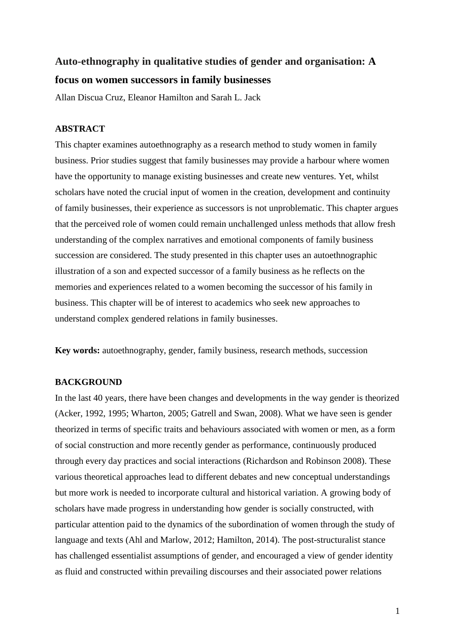# **Auto-ethnography in qualitative studies of gender and organisation: A focus on women successors in family businesses**

Allan Discua Cruz, Eleanor Hamilton and Sarah L. Jack

# **ABSTRACT**

This chapter examines autoethnography as a research method to study women in family business. Prior studies suggest that family businesses may provide a harbour where women have the opportunity to manage existing businesses and create new ventures. Yet, whilst scholars have noted the crucial input of women in the creation, development and continuity of family businesses, their experience as successors is not unproblematic. This chapter argues that the perceived role of women could remain unchallenged unless methods that allow fresh understanding of the complex narratives and emotional components of family business succession are considered. The study presented in this chapter uses an autoethnographic illustration of a son and expected successor of a family business as he reflects on the memories and experiences related to a women becoming the successor of his family in business. This chapter will be of interest to academics who seek new approaches to understand complex gendered relations in family businesses.

**Key words:** autoethnography, gender, family business, research methods, succession

# **BACKGROUND**

In the last 40 years, there have been changes and developments in the way gender is theorized (Acker, 1992, 1995; Wharton, 2005; Gatrell and Swan, 2008). What we have seen is gender theorized in terms of specific traits and behaviours associated with women or men, as a form of social construction and more recently gender as performance, continuously produced through every day practices and social interactions (Richardson and Robinson 2008). These various theoretical approaches lead to different debates and new conceptual understandings but more work is needed to incorporate cultural and historical variation. A growing body of scholars have made progress in understanding how gender is socially constructed, with particular attention paid to the dynamics of the subordination of women through the study of language and texts (Ahl and Marlow, 2012; Hamilton, 2014). The post-structuralist stance has challenged essentialist assumptions of gender, and encouraged a view of gender identity as fluid and constructed within prevailing discourses and their associated power relations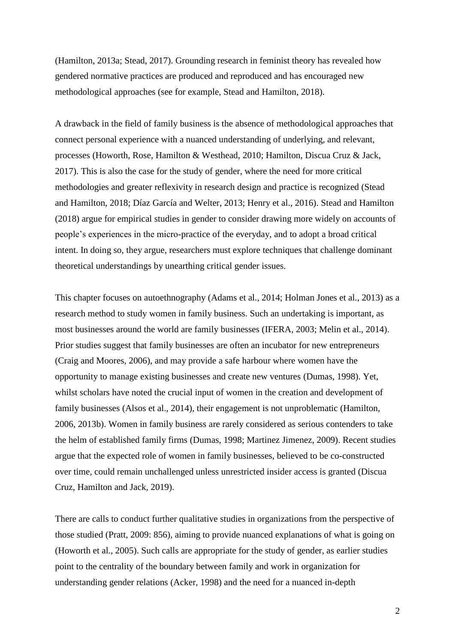(Hamilton, 2013a; Stead, 2017). Grounding research in feminist theory has revealed how gendered normative practices are produced and reproduced and has encouraged new methodological approaches (see for example, Stead and Hamilton, 2018).

A drawback in the field of family business is the absence of methodological approaches that connect personal experience with a nuanced understanding of underlying, and relevant, processes (Howorth, Rose, Hamilton & Westhead, 2010; Hamilton, Discua Cruz & Jack, 2017). This is also the case for the study of gender, where the need for more critical methodologies and greater reflexivity in research design and practice is recognized (Stead and Hamilton, 2018; Díaz García and Welter, 2013; Henry et al., 2016). Stead and Hamilton (2018) argue for empirical studies in gender to consider drawing more widely on accounts of people's experiences in the micro-practice of the everyday, and to adopt a broad critical intent. In doing so, they argue, researchers must explore techniques that challenge dominant theoretical understandings by unearthing critical gender issues.

This chapter focuses on autoethnography (Adams et al., 2014; Holman Jones et al., 2013) as a research method to study women in family business. Such an undertaking is important, as most businesses around the world are family businesses (IFERA, 2003; Melin et al., 2014). Prior studies suggest that family businesses are often an incubator for new entrepreneurs (Craig and Moores, 2006), and may provide a safe harbour where women have the opportunity to manage existing businesses and create new ventures (Dumas, 1998). Yet, whilst scholars have noted the crucial input of women in the creation and development of family businesses (Alsos et al., 2014), their engagement is not unproblematic (Hamilton, 2006, 2013b). Women in family business are rarely considered as serious contenders to take the helm of established family firms (Dumas, 1998; Martinez Jimenez, 2009). Recent studies argue that the expected role of women in family businesses, believed to be co-constructed over time, could remain unchallenged unless unrestricted insider access is granted (Discua Cruz, Hamilton and Jack, 2019).

There are calls to conduct further qualitative studies in organizations from the perspective of those studied (Pratt, 2009: 856), aiming to provide nuanced explanations of what is going on (Howorth et al., 2005). Such calls are appropriate for the study of gender, as earlier studies point to the centrality of the boundary between family and work in organization for understanding gender relations (Acker, 1998) and the need for a nuanced in-depth

2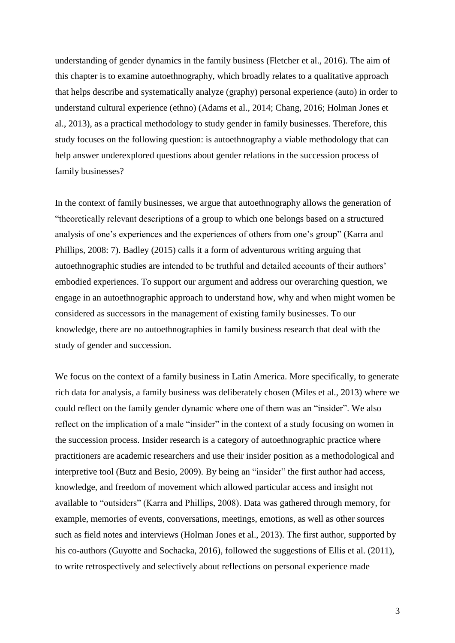understanding of gender dynamics in the family business (Fletcher et al., 2016). The aim of this chapter is to examine autoethnography, which broadly relates to a qualitative approach that helps describe and systematically analyze (graphy) personal experience (auto) in order to understand cultural experience (ethno) (Adams et al., 2014; Chang, 2016; Holman Jones et al., 2013), as a practical methodology to study gender in family businesses. Therefore, this study focuses on the following question: is autoethnography a viable methodology that can help answer underexplored questions about gender relations in the succession process of family businesses?

In the context of family businesses, we argue that autoethnography allows the generation of "theoretically relevant descriptions of a group to which one belongs based on a structured analysis of one's experiences and the experiences of others from one's group" (Karra and Phillips, 2008: 7). Badley (2015) calls it a form of adventurous writing arguing that autoethnographic studies are intended to be truthful and detailed accounts of their authors' embodied experiences. To support our argument and address our overarching question, we engage in an autoethnographic approach to understand how, why and when might women be considered as successors in the management of existing family businesses. To our knowledge, there are no autoethnographies in family business research that deal with the study of gender and succession.

We focus on the context of a family business in Latin America. More specifically, to generate rich data for analysis, a family business was deliberately chosen (Miles et al., 2013) where we could reflect on the family gender dynamic where one of them was an "insider". We also reflect on the implication of a male "insider" in the context of a study focusing on women in the succession process. Insider research is a category of autoethnographic practice where practitioners are academic researchers and use their insider position as a methodological and interpretive tool (Butz and Besio, 2009). By being an "insider" the first author had access, knowledge, and freedom of movement which allowed particular access and insight not available to "outsiders" (Karra and Phillips, 2008). Data was gathered through memory, for example, memories of events, conversations, meetings, emotions, as well as other sources such as field notes and interviews (Holman Jones et al., 2013). The first author, supported by his co-authors (Guyotte and Sochacka, 2016), followed the suggestions of Ellis et al. (2011), to write retrospectively and selectively about reflections on personal experience made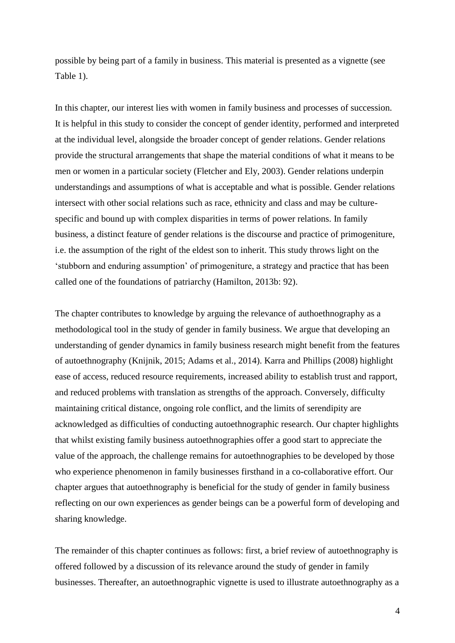possible by being part of a family in business. This material is presented as a vignette (see Table 1).

In this chapter, our interest lies with women in family business and processes of succession. It is helpful in this study to consider the concept of gender identity, performed and interpreted at the individual level, alongside the broader concept of gender relations. Gender relations provide the structural arrangements that shape the material conditions of what it means to be men or women in a particular society (Fletcher and Ely, 2003). Gender relations underpin understandings and assumptions of what is acceptable and what is possible. Gender relations intersect with other social relations such as race, ethnicity and class and may be culturespecific and bound up with complex disparities in terms of power relations. In family business, a distinct feature of gender relations is the discourse and practice of primogeniture, i.e. the assumption of the right of the eldest son to inherit. This study throws light on the 'stubborn and enduring assumption' of primogeniture, a strategy and practice that has been called one of the foundations of patriarchy (Hamilton, 2013b: 92).

The chapter contributes to knowledge by arguing the relevance of authoethnography as a methodological tool in the study of gender in family business. We argue that developing an understanding of gender dynamics in family business research might benefit from the features of autoethnography (Knijnik, 2015; Adams et al., 2014). Karra and Phillips (2008) highlight ease of access, reduced resource requirements, increased ability to establish trust and rapport, and reduced problems with translation as strengths of the approach. Conversely, difficulty maintaining critical distance, ongoing role conflict, and the limits of serendipity are acknowledged as difficulties of conducting autoethnographic research. Our chapter highlights that whilst existing family business autoethnographies offer a good start to appreciate the value of the approach, the challenge remains for autoethnographies to be developed by those who experience phenomenon in family businesses firsthand in a co-collaborative effort. Our chapter argues that autoethnography is beneficial for the study of gender in family business reflecting on our own experiences as gender beings can be a powerful form of developing and sharing knowledge.

The remainder of this chapter continues as follows: first, a brief review of autoethnography is offered followed by a discussion of its relevance around the study of gender in family businesses. Thereafter, an autoethnographic vignette is used to illustrate autoethnography as a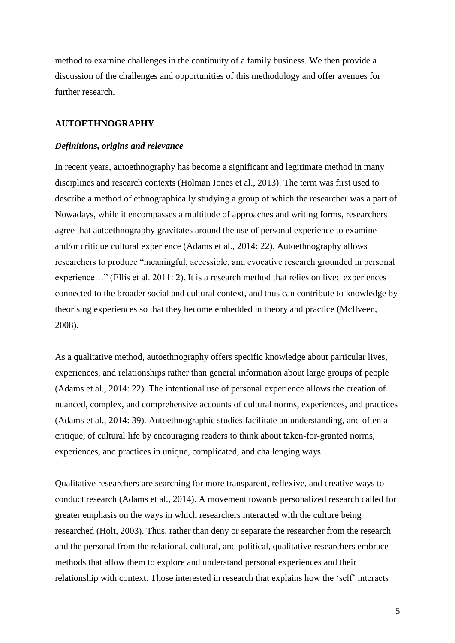method to examine challenges in the continuity of a family business. We then provide a discussion of the challenges and opportunities of this methodology and offer avenues for further research.

## **AUTOETHNOGRAPHY**

## *Definitions, origins and relevance*

In recent years, autoethnography has become a significant and legitimate method in many disciplines and research contexts (Holman Jones et al., 2013). The term was first used to describe a method of ethnographically studying a group of which the researcher was a part of. Nowadays, while it encompasses a multitude of approaches and writing forms, researchers agree that autoethnography gravitates around the use of personal experience to examine and/or critique cultural experience (Adams et al., 2014: 22). Autoethnography allows researchers to produce "meaningful, accessible, and evocative research grounded in personal experience…" (Ellis et al. 2011: 2). It is a research method that relies on lived experiences connected to the broader social and cultural context, and thus can contribute to knowledge by theorising experiences so that they become embedded in theory and practice (McIlveen, 2008).

As a qualitative method, autoethnography offers specific knowledge about particular lives, experiences, and relationships rather than general information about large groups of people (Adams et al., 2014: 22). The intentional use of personal experience allows the creation of nuanced, complex, and comprehensive accounts of cultural norms, experiences, and practices (Adams et al., 2014: 39). Autoethnographic studies facilitate an understanding, and often a critique, of cultural life by encouraging readers to think about taken-for-granted norms, experiences, and practices in unique, complicated, and challenging ways.

Qualitative researchers are searching for more transparent, reflexive, and creative ways to conduct research (Adams et al., 2014). A movement towards personalized research called for greater emphasis on the ways in which researchers interacted with the culture being researched (Holt, 2003). Thus, rather than deny or separate the researcher from the research and the personal from the relational, cultural, and political, qualitative researchers embrace methods that allow them to explore and understand personal experiences and their relationship with context. Those interested in research that explains how the 'self' interacts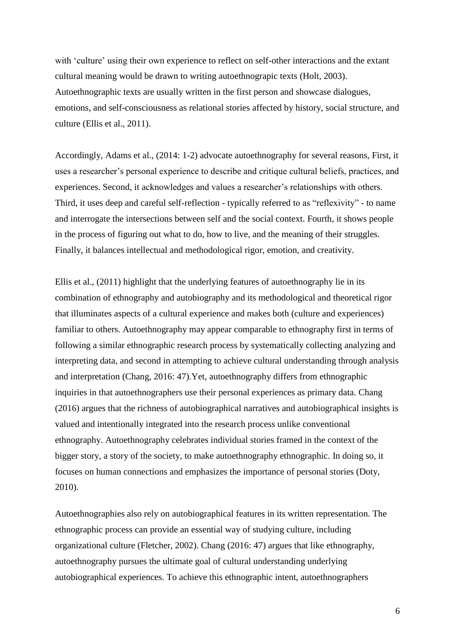with 'culture' using their own experience to reflect on self-other interactions and the extant cultural meaning would be drawn to writing autoethnograpic texts (Holt, 2003). Autoethnographic texts are usually written in the first person and showcase dialogues, emotions, and self-consciousness as relational stories affected by history, social structure, and culture (Ellis et al., 2011).

Accordingly, Adams et al., (2014: 1-2) advocate autoethnography for several reasons, First, it uses a researcher's personal experience to describe and critique cultural beliefs, practices, and experiences. Second, it acknowledges and values a researcher's relationships with others. Third, it uses deep and careful self-reflection - typically referred to as "reflexivity" - to name and interrogate the intersections between self and the social context. Fourth, it shows people in the process of figuring out what to do, how to live, and the meaning of their struggles. Finally, it balances intellectual and methodological rigor, emotion, and creativity.

Ellis et al., (2011) highlight that the underlying features of autoethnography lie in its combination of ethnography and autobiography and its methodological and theoretical rigor that illuminates aspects of a cultural experience and makes both (culture and experiences) familiar to others. Autoethnography may appear comparable to ethnography first in terms of following a similar ethnographic research process by systematically collecting analyzing and interpreting data, and second in attempting to achieve cultural understanding through analysis and interpretation (Chang, 2016: 47).Yet, autoethnography differs from ethnographic inquiries in that autoethnographers use their personal experiences as primary data. Chang (2016) argues that the richness of autobiographical narratives and autobiographical insights is valued and intentionally integrated into the research process unlike conventional ethnography. Autoethnography celebrates individual stories framed in the context of the bigger story, a story of the society, to make autoethnography ethnographic. In doing so, it focuses on human connections and emphasizes the importance of personal stories (Doty, 2010).

Autoethnographies also rely on autobiographical features in its written representation. The ethnographic process can provide an essential way of studying culture, including organizational culture (Fletcher, 2002). Chang (2016: 47) argues that like ethnography, autoethnography pursues the ultimate goal of cultural understanding underlying autobiographical experiences. To achieve this ethnographic intent, autoethnographers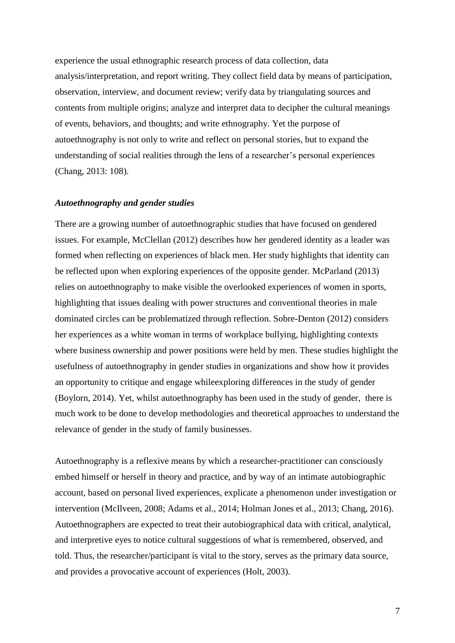experience the usual ethnographic research process of data collection, data analysis/interpretation, and report writing. They collect field data by means of participation, observation, interview, and document review; verify data by triangulating sources and contents from multiple origins; analyze and interpret data to decipher the cultural meanings of events, behaviors, and thoughts; and write ethnography. Yet the purpose of autoethnography is not only to write and reflect on personal stories, but to expand the understanding of social realities through the lens of a researcher's personal experiences (Chang, 2013: 108).

### *Autoethnography and gender studies*

There are a growing number of autoethnographic studies that have focused on gendered issues. For example, McClellan (2012) describes how her gendered identity as a leader was formed when reflecting on experiences of black men. Her study highlights that identity can be reflected upon when exploring experiences of the opposite gender. McParland (2013) relies on autoethnography to make visible the overlooked experiences of women in sports, highlighting that issues dealing with power structures and conventional theories in male dominated circles can be problematized through reflection. Sobre-Denton (2012) considers her experiences as a white woman in terms of workplace bullying, highlighting contexts where business ownership and power positions were held by men. These studies highlight the usefulness of autoethnography in gender studies in organizations and show how it provides an opportunity to critique and engage whileexploring differences in the study of gender (Boylorn, 2014). Yet, whilst autoethnography has been used in the study of gender, there is much work to be done to develop methodologies and theoretical approaches to understand the relevance of gender in the study of family businesses.

Autoethnography is a reflexive means by which a researcher-practitioner can consciously embed himself or herself in theory and practice, and by way of an intimate autobiographic account, based on personal lived experiences, explicate a phenomenon under investigation or intervention (McIlveen, 2008; Adams et al., 2014; Holman Jones et al., 2013; Chang, 2016). Autoethnographers are expected to treat their autobiographical data with critical, analytical, and interpretive eyes to notice cultural suggestions of what is remembered, observed, and told. Thus, the researcher/participant is vital to the story, serves as the primary data source, and provides a provocative account of experiences (Holt, 2003).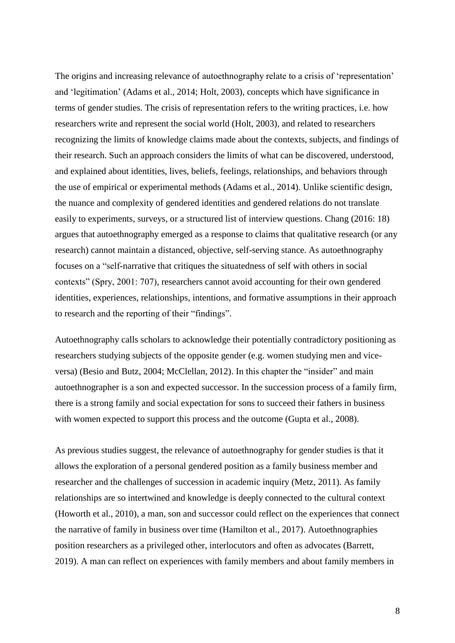The origins and increasing relevance of autoethnography relate to a crisis of 'representation' and 'legitimation' (Adams et al., 2014; Holt, 2003), concepts which have significance in terms of gender studies. The crisis of representation refers to the writing practices, i.e. how researchers write and represent the social world (Holt, 2003), and related to researchers recognizing the limits of knowledge claims made about the contexts, subjects, and findings of their research. Such an approach considers the limits of what can be discovered, understood, and explained about identities, lives, beliefs, feelings, relationships, and behaviors through the use of empirical or experimental methods (Adams et al., 2014). Unlike scientific design, the nuance and complexity of gendered identities and gendered relations do not translate easily to experiments, surveys, or a structured list of interview questions. Chang (2016: 18) argues that autoethnography emerged as a response to claims that qualitative research (or any research) cannot maintain a distanced, objective, self-serving stance. As autoethnography focuses on a "self-narrative that critiques the situatedness of self with others in social contexts" (Spry, 2001: 707), researchers cannot avoid accounting for their own gendered identities, experiences, relationships, intentions, and formative assumptions in their approach to research and the reporting of their "findings".

Autoethnography calls scholars to acknowledge their potentially contradictory positioning as researchers studying subjects of the opposite gender (e.g. women studying men and viceversa) (Besio and Butz, 2004; McClellan, 2012). In this chapter the "insider" and main autoethnographer is a son and expected successor. In the succession process of a family firm, there is a strong family and social expectation for sons to succeed their fathers in business with women expected to support this process and the outcome (Gupta et al., 2008).

As previous studies suggest, the relevance of autoethnography for gender studies is that it allows the exploration of a personal gendered position as a family business member and researcher and the challenges of succession in academic inquiry (Metz, 2011). As family relationships are so intertwined and knowledge is deeply connected to the cultural context (Howorth et al., 2010), a man, son and successor could reflect on the experiences that connect the narrative of family in business over time (Hamilton et al., 2017). Autoethnographies position researchers as a privileged other, interlocutors and often as advocates (Barrett, 2019). A man can reflect on experiences with family members and about family members in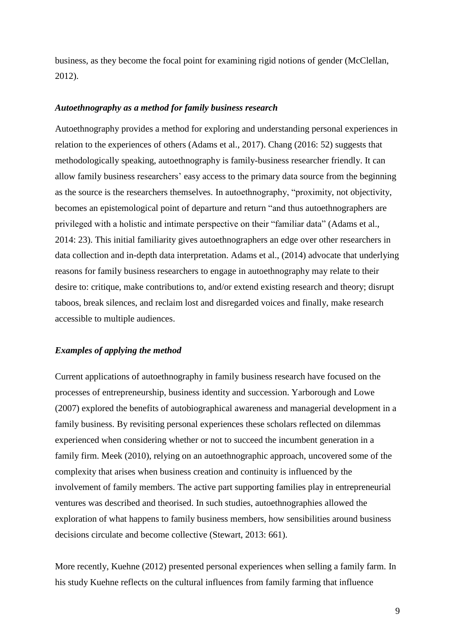business, as they become the focal point for examining rigid notions of gender (McClellan, 2012).

#### *Autoethnography as a method for family business research*

Autoethnography provides a method for exploring and understanding personal experiences in relation to the experiences of others (Adams et al., 2017). Chang (2016: 52) suggests that methodologically speaking, autoethnography is family-business researcher friendly. It can allow family business researchers' easy access to the primary data source from the beginning as the source is the researchers themselves. In autoethnography, "proximity, not objectivity, becomes an epistemological point of departure and return "and thus autoethnographers are privileged with a holistic and intimate perspective on their "familiar data" (Adams et al., 2014: 23). This initial familiarity gives autoethnographers an edge over other researchers in data collection and in-depth data interpretation. Adams et al., (2014) advocate that underlying reasons for family business researchers to engage in autoethnography may relate to their desire to: critique, make contributions to, and/or extend existing research and theory; disrupt taboos, break silences, and reclaim lost and disregarded voices and finally, make research accessible to multiple audiences.

#### *Examples of applying the method*

Current applications of autoethnography in family business research have focused on the processes of entrepreneurship, business identity and succession. Yarborough and Lowe (2007) explored the benefits of autobiographical awareness and managerial development in a family business. By revisiting personal experiences these scholars reflected on dilemmas experienced when considering whether or not to succeed the incumbent generation in a family firm. Meek (2010), relying on an autoethnographic approach, uncovered some of the complexity that arises when business creation and continuity is influenced by the involvement of family members. The active part supporting families play in entrepreneurial ventures was described and theorised. In such studies, autoethnographies allowed the exploration of what happens to family business members, how sensibilities around business decisions circulate and become collective (Stewart, 2013: 661).

More recently, Kuehne (2012) presented personal experiences when selling a family farm. In his study Kuehne reflects on the cultural influences from family farming that influence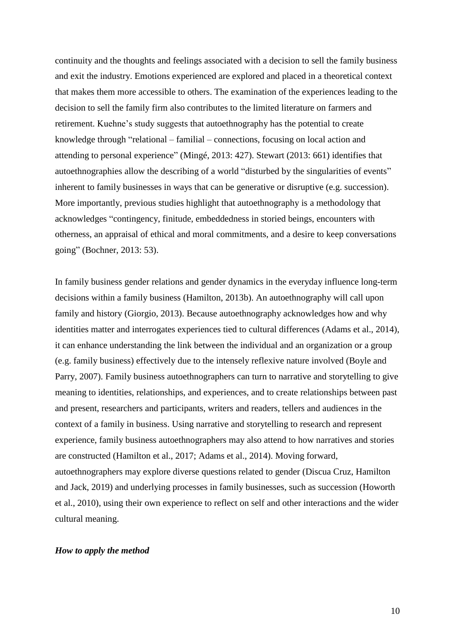continuity and the thoughts and feelings associated with a decision to sell the family business and exit the industry. Emotions experienced are explored and placed in a theoretical context that makes them more accessible to others. The examination of the experiences leading to the decision to sell the family firm also contributes to the limited literature on farmers and retirement. Kuehne's study suggests that autoethnography has the potential to create knowledge through "relational – familial – connections, focusing on local action and attending to personal experience" (Mingé, 2013: 427). Stewart (2013: 661) identifies that autoethnographies allow the describing of a world "disturbed by the singularities of events" inherent to family businesses in ways that can be generative or disruptive (e.g. succession). More importantly, previous studies highlight that autoethnography is a methodology that acknowledges "contingency, finitude, embeddedness in storied beings, encounters with otherness, an appraisal of ethical and moral commitments, and a desire to keep conversations going" (Bochner, 2013: 53).

In family business gender relations and gender dynamics in the everyday influence long-term decisions within a family business (Hamilton, 2013b). An autoethnography will call upon family and history (Giorgio, 2013). Because autoethnography acknowledges how and why identities matter and interrogates experiences tied to cultural differences (Adams et al., 2014), it can enhance understanding the link between the individual and an organization or a group (e.g. family business) effectively due to the intensely reflexive nature involved (Boyle and Parry, 2007). Family business autoethnographers can turn to narrative and storytelling to give meaning to identities, relationships, and experiences, and to create relationships between past and present, researchers and participants, writers and readers, tellers and audiences in the context of a family in business. Using narrative and storytelling to research and represent experience, family business autoethnographers may also attend to how narratives and stories are constructed (Hamilton et al., 2017; Adams et al., 2014). Moving forward, autoethnographers may explore diverse questions related to gender (Discua Cruz, Hamilton and Jack, 2019) and underlying processes in family businesses, such as succession (Howorth et al., 2010), using their own experience to reflect on self and other interactions and the wider cultural meaning.

#### *How to apply the method*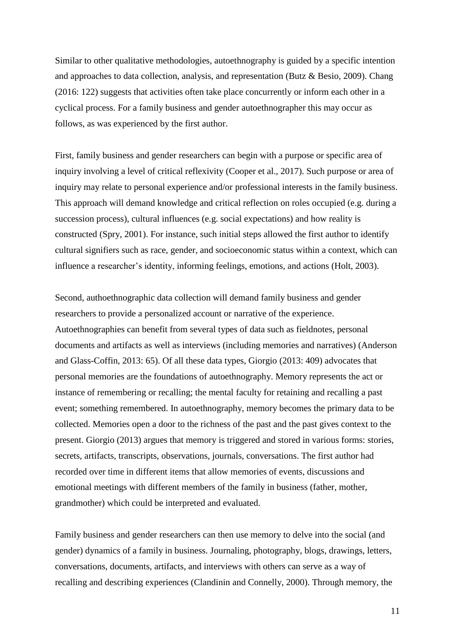Similar to other qualitative methodologies, autoethnography is guided by a specific intention and approaches to data collection, analysis, and representation (Butz & Besio, 2009). Chang (2016: 122) suggests that activities often take place concurrently or inform each other in a cyclical process. For a family business and gender autoethnographer this may occur as follows, as was experienced by the first author.

First, family business and gender researchers can begin with a purpose or specific area of inquiry involving a level of critical reflexivity (Cooper et al., 2017). Such purpose or area of inquiry may relate to personal experience and/or professional interests in the family business. This approach will demand knowledge and critical reflection on roles occupied (e.g. during a succession process), cultural influences (e.g. social expectations) and how reality is constructed (Spry, 2001). For instance, such initial steps allowed the first author to identify cultural signifiers such as race, gender, and socioeconomic status within a context, which can influence a researcher's identity, informing feelings, emotions, and actions (Holt, 2003).

Second, authoethnographic data collection will demand family business and gender researchers to provide a personalized account or narrative of the experience. Autoethnographies can benefit from several types of data such as fieldnotes, personal documents and artifacts as well as interviews (including memories and narratives) (Anderson and Glass-Coffin, 2013: 65). Of all these data types, Giorgio (2013: 409) advocates that personal memories are the foundations of autoethnography. Memory represents the act or instance of remembering or recalling; the mental faculty for retaining and recalling a past event; something remembered. In autoethnography, memory becomes the primary data to be collected. Memories open a door to the richness of the past and the past gives context to the present. Giorgio (2013) argues that memory is triggered and stored in various forms: stories, secrets, artifacts, transcripts, observations, journals, conversations. The first author had recorded over time in different items that allow memories of events, discussions and emotional meetings with different members of the family in business (father, mother, grandmother) which could be interpreted and evaluated.

Family business and gender researchers can then use memory to delve into the social (and gender) dynamics of a family in business. Journaling, photography, blogs, drawings, letters, conversations, documents, artifacts, and interviews with others can serve as a way of recalling and describing experiences (Clandinin and Connelly, 2000). Through memory, the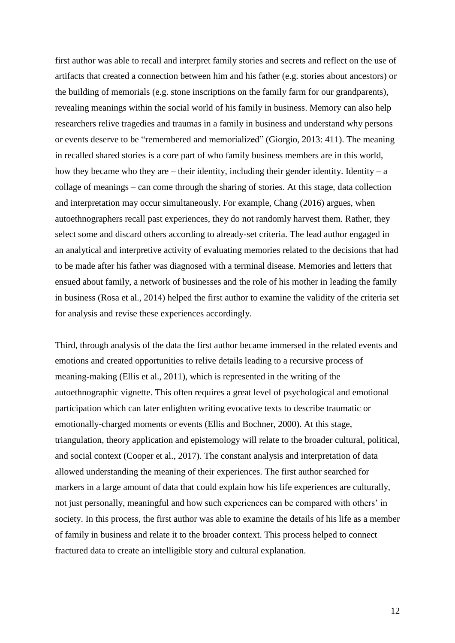first author was able to recall and interpret family stories and secrets and reflect on the use of artifacts that created a connection between him and his father (e.g. stories about ancestors) or the building of memorials (e.g. stone inscriptions on the family farm for our grandparents), revealing meanings within the social world of his family in business. Memory can also help researchers relive tragedies and traumas in a family in business and understand why persons or events deserve to be "remembered and memorialized" (Giorgio, 2013: 411). The meaning in recalled shared stories is a core part of who family business members are in this world, how they became who they are – their identity, including their gender identity. Identity – a collage of meanings – can come through the sharing of stories. At this stage, data collection and interpretation may occur simultaneously. For example, Chang (2016) argues, when autoethnographers recall past experiences, they do not randomly harvest them. Rather, they select some and discard others according to already-set criteria. The lead author engaged in an analytical and interpretive activity of evaluating memories related to the decisions that had to be made after his father was diagnosed with a terminal disease. Memories and letters that ensued about family, a network of businesses and the role of his mother in leading the family in business (Rosa et al., 2014) helped the first author to examine the validity of the criteria set for analysis and revise these experiences accordingly.

Third, through analysis of the data the first author became immersed in the related events and emotions and created opportunities to relive details leading to a recursive process of meaning-making (Ellis et al., 2011), which is represented in the writing of the autoethnographic vignette. This often requires a great level of psychological and emotional participation which can later enlighten writing evocative texts to describe traumatic or emotionally-charged moments or events (Ellis and Bochner, 2000). At this stage, triangulation, theory application and [epistemology](https://www.sciencedirect.com/topics/social-sciences/epistemology) will relate to the broader cultural, political, and social context (Cooper et al., 2017). The constant analysis and interpretation of data allowed understanding the meaning of their experiences. The first author searched for markers in a large amount of data that could explain how his life experiences are culturally, not just personally, meaningful and how such experiences can be compared with others' in society. In this process, the first author was able to examine the details of his life as a member of family in business and relate it to the broader context. This process helped to connect fractured data to create an intelligible story and cultural explanation.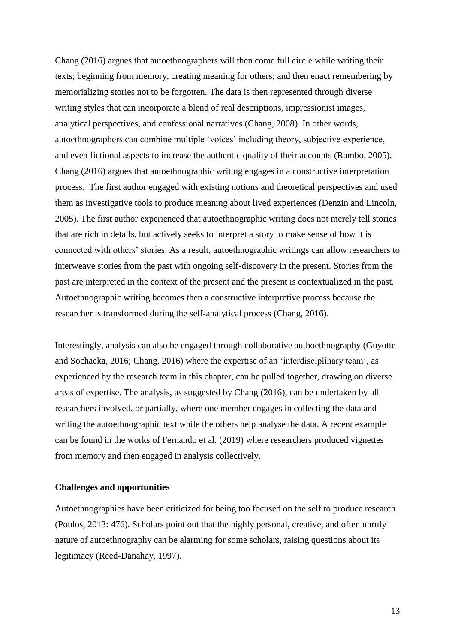Chang (2016) argues that autoethnographers will then come full circle while writing their texts; beginning from memory, creating meaning for others; and then enact remembering by memorializing stories not to be forgotten. The data is then represented through diverse writing styles that can incorporate a blend of real descriptions, impressionist images, analytical perspectives, and confessional narratives (Chang, 2008). In other words, autoethnographers can combine multiple 'voices' including theory, subjective experience, and even fictional aspects to increase the authentic quality of their accounts (Rambo, 2005). Chang (2016) argues that autoethnographic writing engages in a constructive interpretation process. The first author engaged with existing notions and theoretical perspectives and used them as investigative tools to produce meaning about lived experiences (Denzin and Lincoln, 2005). The first author experienced that autoethnographic writing does not merely tell stories that are rich in details, but actively seeks to interpret a story to make sense of how it is connected with others' stories. As a result, autoethnographic writings can allow researchers to interweave stories from the past with ongoing self-discovery in the present. Stories from the past are interpreted in the context of the present and the present is contextualized in the past. Autoethnographic writing becomes then a constructive interpretive process because the researcher is transformed during the self-analytical process (Chang, 2016).

Interestingly, analysis can also be engaged through collaborative authoethnography (Guyotte and Sochacka, 2016; Chang, 2016) where the expertise of an 'interdisciplinary team', as experienced by the research team in this chapter, can be pulled together, drawing on diverse areas of expertise. The analysis, as suggested by Chang (2016), can be undertaken by all researchers involved, or partially, where one member engages in collecting the data and writing the autoethnographic text while the others help analyse the data. A recent example can be found in the works of Fernando et al. (2019) where researchers produced vignettes from memory and then engaged in analysis collectively.

#### **Challenges and opportunities**

Autoethnographies have been criticized for being too focused on the self to produce research (Poulos, 2013: 476). Scholars point out that the highly personal, creative, and often unruly nature of autoethnography can be alarming for some scholars, raising questions about its [legitimacy](https://www.sciencedirect.com/topics/social-sciences/legitimacy) (Reed-Danahay, 1997).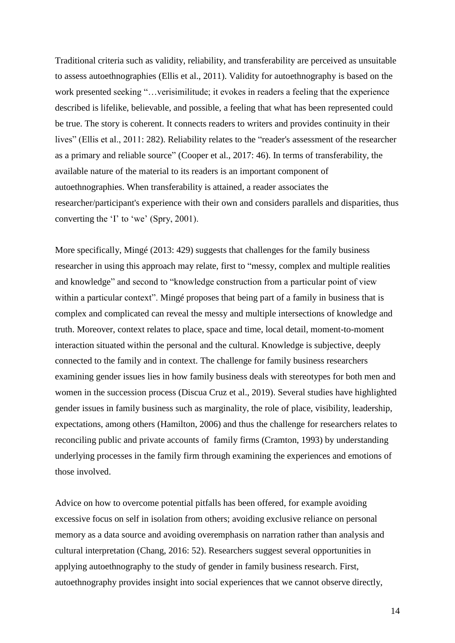Traditional criteria such as validity, reliability, and transferability are perceived as unsuitable to assess autoethnographies (Ellis et al., 2011). Validity for autoethnography is based on the work presented seeking "…verisimilitude; it evokes in readers a feeling that the experience described is lifelike, believable, and possible, a feeling that what has been represented could be true. The story is coherent. It connects readers to writers and provides continuity in their lives" (Ellis et al., 2011: 282). Reliability relates to the "reader's assessment of the researcher as a primary and reliable source" (Cooper et al., 2017: 46). In terms of transferability, the available nature of the material to its readers is an important component of autoethnographies. When transferability is attained, a reader associates the researcher/participant's experience with their own and considers parallels and disparities, thus converting the 'I' to 'we' (Spry, 2001).

More specifically, Mingé (2013: 429) suggests that challenges for the family business researcher in using this approach may relate, first to "messy, complex and multiple realities and knowledge" and second to "knowledge construction from a particular point of view within a particular context". Mingé proposes that being part of a family in business that is complex and complicated can reveal the messy and multiple intersections of knowledge and truth. Moreover, context relates to place, space and time, local detail, moment-to-moment interaction situated within the personal and the cultural. Knowledge is subjective, deeply connected to the family and in context. The challenge for family business researchers examining gender issues lies in how family business deals with stereotypes for both men and women in the succession process (Discua Cruz et al., 2019). Several studies have highlighted gender issues in family business such as marginality, the role of place, visibility, leadership, expectations, among others (Hamilton, 2006) and thus the challenge for researchers relates to reconciling public and private accounts of family firms (Cramton, 1993) by understanding underlying processes in the family firm through examining the experiences and emotions of those involved.

Advice on how to overcome potential pitfalls has been offered, for example avoiding excessive focus on self in isolation from others; avoiding exclusive reliance on personal memory as a data source and avoiding overemphasis on narration rather than analysis and cultural interpretation (Chang, 2016: 52). Researchers suggest several opportunities in applying autoethnography to the study of gender in family business research. First, autoethnography provides insight into social experiences that we cannot observe directly,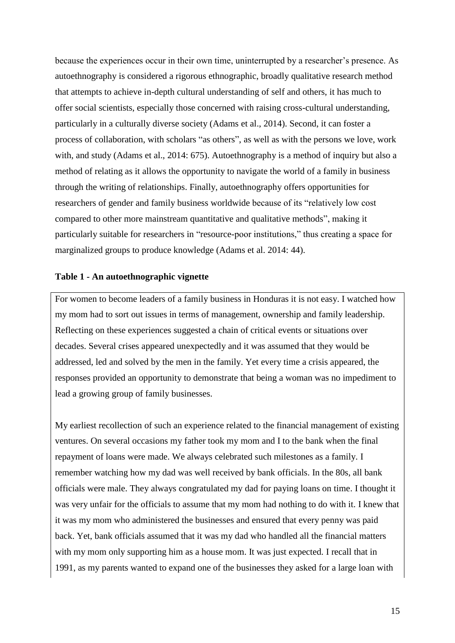because the experiences occur in their own time, uninterrupted by a researcher's presence. As autoethnography is considered a rigorous ethnographic, broadly qualitative research method that attempts to achieve in-depth cultural understanding of self and others, it has much to offer social scientists, especially those concerned with raising cross-cultural understanding, particularly in a culturally diverse society (Adams et al., 2014). Second, it can foster a process of collaboration, with scholars "as others", as well as with the persons we love, work with, and study (Adams et al., 2014: 675). Autoethnography is a method of inquiry but also a method of relating as it allows the opportunity to navigate the world of a family in business through the writing of relationships. Finally, autoethnography offers opportunities for researchers of gender and family business worldwide because of its "relatively low cost compared to other more mainstream quantitative and qualitative methods", making it particularly suitable for researchers in "resource-poor institutions," thus creating a space for marginalized groups to produce knowledge (Adams et al. 2014: 44).

#### **Table 1 - An autoethnographic vignette**

For women to become leaders of a family business in Honduras it is not easy. I watched how my mom had to sort out issues in terms of management, ownership and family leadership. Reflecting on these experiences suggested a chain of critical events or situations over decades. Several crises appeared unexpectedly and it was assumed that they would be addressed, led and solved by the men in the family. Yet every time a crisis appeared, the responses provided an opportunity to demonstrate that being a woman was no impediment to lead a growing group of family businesses.

My earliest recollection of such an experience related to the financial management of existing ventures. On several occasions my father took my mom and I to the bank when the final repayment of loans were made. We always celebrated such milestones as a family. I remember watching how my dad was well received by bank officials. In the 80s, all bank officials were male. They always congratulated my dad for paying loans on time. I thought it was very unfair for the officials to assume that my mom had nothing to do with it. I knew that it was my mom who administered the businesses and ensured that every penny was paid back. Yet, bank officials assumed that it was my dad who handled all the financial matters with my mom only supporting him as a house mom. It was just expected. I recall that in 1991, as my parents wanted to expand one of the businesses they asked for a large loan with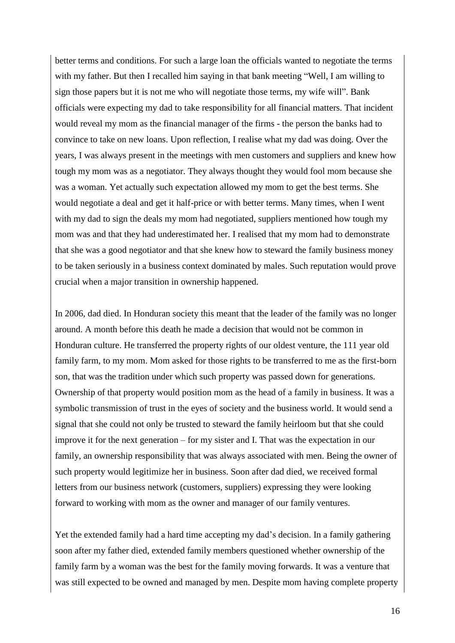better terms and conditions. For such a large loan the officials wanted to negotiate the terms with my father. But then I recalled him saying in that bank meeting "Well, I am willing to sign those papers but it is not me who will negotiate those terms, my wife will". Bank officials were expecting my dad to take responsibility for all financial matters. That incident would reveal my mom as the financial manager of the firms - the person the banks had to convince to take on new loans. Upon reflection, I realise what my dad was doing. Over the years, I was always present in the meetings with men customers and suppliers and knew how tough my mom was as a negotiator. They always thought they would fool mom because she was a woman. Yet actually such expectation allowed my mom to get the best terms. She would negotiate a deal and get it half-price or with better terms. Many times, when I went with my dad to sign the deals my mom had negotiated, suppliers mentioned how tough my mom was and that they had underestimated her. I realised that my mom had to demonstrate that she was a good negotiator and that she knew how to steward the family business money to be taken seriously in a business context dominated by males. Such reputation would prove crucial when a major transition in ownership happened.

In 2006, dad died. In Honduran society this meant that the leader of the family was no longer around. A month before this death he made a decision that would not be common in Honduran culture. He transferred the property rights of our oldest venture, the 111 year old family farm, to my mom. Mom asked for those rights to be transferred to me as the first-born son, that was the tradition under which such property was passed down for generations. Ownership of that property would position mom as the head of a family in business. It was a symbolic transmission of trust in the eyes of society and the business world. It would send a signal that she could not only be trusted to steward the family heirloom but that she could improve it for the next generation – for my sister and I. That was the expectation in our family, an ownership responsibility that was always associated with men. Being the owner of such property would legitimize her in business. Soon after dad died, we received formal letters from our business network (customers, suppliers) expressing they were looking forward to working with mom as the owner and manager of our family ventures.

Yet the extended family had a hard time accepting my dad's decision. In a family gathering soon after my father died, extended family members questioned whether ownership of the family farm by a woman was the best for the family moving forwards. It was a venture that was still expected to be owned and managed by men. Despite mom having complete property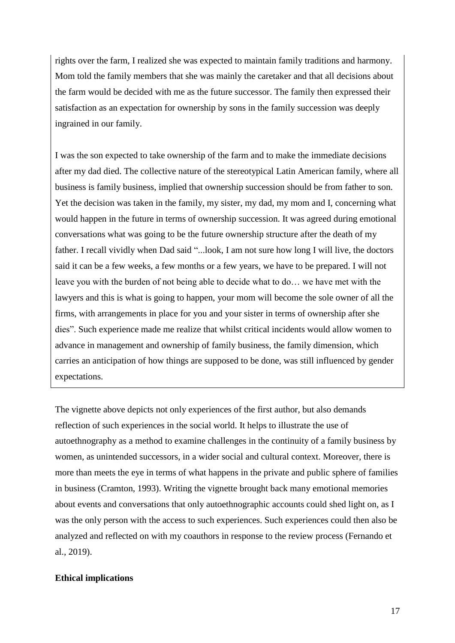rights over the farm, I realized she was expected to maintain family traditions and harmony. Mom told the family members that she was mainly the caretaker and that all decisions about the farm would be decided with me as the future successor. The family then expressed their satisfaction as an expectation for ownership by sons in the family succession was deeply ingrained in our family.

I was the son expected to take ownership of the farm and to make the immediate decisions after my dad died. The collective nature of the stereotypical Latin American family, where all business is family business, implied that ownership succession should be from father to son. Yet the decision was taken in the family, my sister, my dad, my mom and I, concerning what would happen in the future in terms of ownership succession. It was agreed during emotional conversations what was going to be the future ownership structure after the death of my father. I recall vividly when Dad said "...look, I am not sure how long I will live, the doctors said it can be a few weeks, a few months or a few years, we have to be prepared. I will not leave you with the burden of not being able to decide what to do… we have met with the lawyers and this is what is going to happen, your mom will become the sole owner of all the firms, with arrangements in place for you and your sister in terms of ownership after she dies". Such experience made me realize that whilst critical incidents would allow women to advance in management and ownership of family business, the family dimension, which carries an anticipation of how things are supposed to be done, was still influenced by gender expectations.

The vignette above depicts not only experiences of the first author, but also demands reflection of such experiences in the social world. It helps to illustrate the use of autoethnography as a method to examine challenges in the continuity of a family business by women, as unintended successors, in a wider social and cultural context. Moreover, there is more than meets the eye in terms of what happens in the private and public sphere of families in business (Cramton, 1993). Writing the vignette brought back many emotional memories about events and conversations that only autoethnographic accounts could shed light on, as I was the only person with the access to such experiences. Such experiences could then also be analyzed and reflected on with my coauthors in response to the review process (Fernando et al., 2019).

#### **Ethical implications**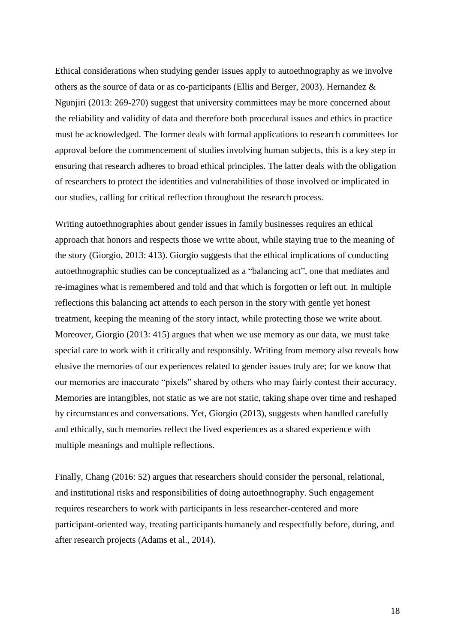Ethical considerations when studying gender issues apply to autoethnography as we involve others as the source of data or as co-participants (Ellis and Berger, 2003). Hernandez & Ngunjiri (2013: 269-270) suggest that university committees may be more concerned about the reliability and validity of data and therefore both procedural issues and ethics in practice must be acknowledged. The former deals with formal applications to research committees for approval before the commencement of studies involving human subjects, this is a key step in ensuring that research adheres to broad ethical principles. The latter deals with the obligation of researchers to protect the identities and vulnerabilities of those involved or implicated in our studies, calling for critical reflection throughout the research process.

Writing autoethnographies about gender issues in family businesses requires an ethical approach that honors and respects those we write about, while staying true to the meaning of the story (Giorgio, 2013: 413). Giorgio suggests that the ethical implications of conducting autoethnographic studies can be conceptualized as a "balancing act", one that mediates and re-imagines what is remembered and told and that which is forgotten or left out. In multiple reflections this balancing act attends to each person in the story with gentle yet honest treatment, keeping the meaning of the story intact, while protecting those we write about. Moreover, Giorgio (2013: 415) argues that when we use memory as our data, we must take special care to work with it critically and responsibly. Writing from memory also reveals how elusive the memories of our experiences related to gender issues truly are; for we know that our memories are inaccurate "pixels" shared by others who may fairly contest their accuracy. Memories are intangibles, not static as we are not static, taking shape over time and reshaped by circumstances and conversations. Yet, Giorgio (2013), suggests when handled carefully and ethically, such memories reflect the lived experiences as a shared experience with multiple meanings and multiple reflections.

Finally, Chang (2016: 52) argues that researchers should consider the personal, relational, and institutional risks and responsibilities of doing autoethnography. Such engagement requires researchers to work with participants in less researcher-centered and more participant-oriented way, treating participants humanely and respectfully before, during, and after research projects (Adams et al., 2014).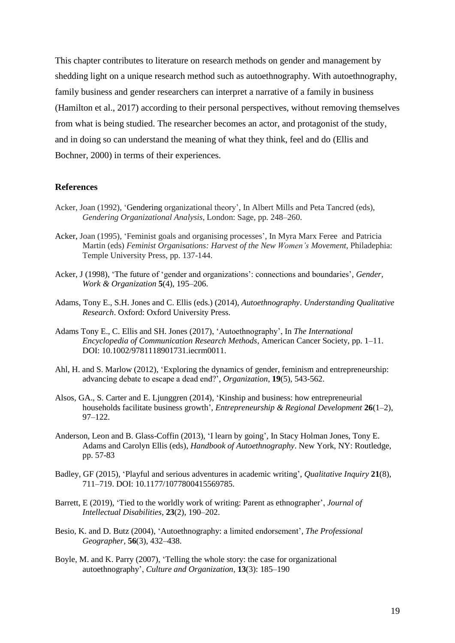This chapter contributes to literature on research methods on gender and management by shedding light on a unique research method such as autoethnography. With autoethnography, family business and gender researchers can interpret a narrative of a family in business (Hamilton et al., 2017) according to their personal perspectives, without removing themselves from what is being studied. The researcher becomes an actor, and protagonist of the study, and in doing so can understand the meaning of what they think, feel and do (Ellis and Bochner, 2000) in terms of their experiences.

#### **References**

- Acker, Joan (1992), 'Gendering organizational theory', In Albert Mills and Peta Tancred (eds), *Gendering Organizational Analysis*, London: Sage, pp. 248–260.
- Acker, Joan (1995), 'Feminist goals and organising processes', In Myra Marx Feree and Patricia Martin (eds) *Feminist Organisations: Harvest of the New Women's Movement*, Philadephia: Temple University Press, pp. 137-144.
- Acker, J (1998), 'The future of 'gender and organizations': connections and boundaries', *Gender, Work & Organization* **5**(4), 195–206.
- Adams, Tony E., S.H. Jones and C. Ellis (eds.) (2014), *Autoethnography*. *Understanding Qualitative Research*. Oxford: Oxford University Press.
- Adams Tony E., C. Ellis and SH. Jones (2017), 'Autoethnography', In *The International Encyclopedia of Communication Research Methods*, American Cancer Society, pp. 1–11. DOI: 10.1002/9781118901731.iecrm0011.
- Ahl, H. and S. Marlow (2012), 'Exploring the dynamics of gender, feminism and entrepreneurship: advancing debate to escape a dead end?', *Organization*, **19**(5), 543-562.
- Alsos, GA., S. Carter and E. Ljunggren (2014), 'Kinship and business: how entrepreneurial households facilitate business growth', *Entrepreneurship & Regional Development* **26**(1–2), 97–122.
- Anderson, Leon and B. Glass-Coffin (2013), 'I learn by going', In Stacy Holman Jones, Tony E. Adams and Carolyn Ellis (eds), *Handbook of Autoethnography*. New York, NY: Routledge, pp. 57-83
- Badley, GF (2015), 'Playful and serious adventures in academic writing', *Qualitative Inquiry* **21**(8), 711–719. DOI: 10.1177/1077800415569785.
- Barrett, E (2019), 'Tied to the worldly work of writing: Parent as ethnographer', *Journal of Intellectual Disabilities,* **23**(2), 190–202.
- Besio, K. and D. Butz (2004), 'Autoethnography: a limited endorsement', *The Professional Geographer,* **56**(3), 432–438.
- Boyle, M. and K. Parry (2007), 'Telling the whole story: the case for organizational autoethnography', *Culture and Organization,* **13**(3): 185–190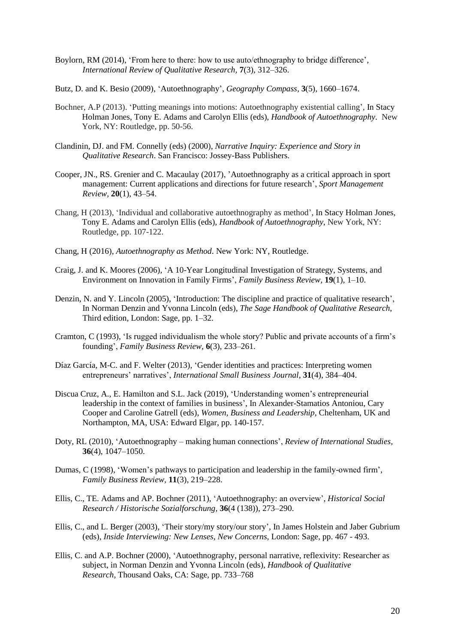- Boylorn, RM (2014), 'From here to there: how to use auto/ethnography to bridge difference', *International Review of Qualitative Research,* **7**(3), 312–326.
- Butz, D. and K. Besio (2009), 'Autoethnography', *Geography Compass,* **3**(5), 1660–1674.
- Bochner, A.P (2013). 'Putting meanings into motions: Autoethnography existential calling', In Stacy Holman Jones, Tony E. Adams and Carolyn Ellis (eds), *Handbook of Autoethnography*. New York, NY: Routledge, pp. 50-56.
- Clandinin, DJ. and FM. Connelly (eds) (2000), *Narrative Inquiry: Experience and Story in Qualitative Research*. San Francisco: Jossey-Bass Publishers.
- Cooper, JN., RS. Grenier and C. Macaulay (2017), 'Autoethnography as a critical approach in sport management: Current applications and directions for future research', *Sport Management Review,* **20**(1), 43–54.
- Chang, H (2013), 'Individual and collaborative autoethnography as method', In Stacy Holman Jones, Tony E. Adams and Carolyn Ellis (eds), *Handbook of Autoethnography*, New York, NY: Routledge, pp. 107-122.
- Chang, H (2016), *Autoethnography as Method*. New York: NY, Routledge.
- Craig, J. and K. Moores (2006), 'A 10-Year Longitudinal Investigation of Strategy, Systems, and Environment on Innovation in Family Firms', *Family Business Review,* **19**(1), 1–10.
- Denzin, N. and Y. Lincoln (2005), 'Introduction: The discipline and practice of qualitative research', In Norman Denzin and Yvonna Lincoln (eds), *The Sage Handbook of Qualitative Research*, Third edition, London: Sage, pp. 1–32.
- Cramton, C (1993), 'Is rugged individualism the whole story? Public and private accounts of a firm's founding', *Family Business Review,* **6**(3), 233–261.
- Díaz García, M-C. and F. Welter (2013), 'Gender identities and practices: Interpreting women entrepreneurs' narratives', *International Small Business Journal,* **31**(4), 384–404.
- Discua Cruz, A., E. Hamilton and S.L. Jack (2019), 'Understanding women's entrepreneurial leadership in the context of families in business', In Alexander-Stamatios Antoniou, Cary Cooper and Caroline Gatrell (eds), *Women, Business and Leadership*, Cheltenham, UK and Northampton, MA, USA: Edward Elgar, pp. 140-157.
- Doty, RL (2010), 'Autoethnography making human connections', *Review of International Studies,* **36**(4), 1047–1050.
- Dumas, C (1998), 'Women's pathways to participation and leadership in the family-owned firm', *Family Business Review,* **11**(3), 219–228.
- Ellis, C., TE. Adams and AP. Bochner (2011), 'Autoethnography: an overview', *Historical Social Research / Historische Sozialforschung,* **36**(4 (138)), 273–290.
- Ellis, C., and L. Berger (2003), 'Their story/my story/our story', In James Holstein and Jaber Gubrium (eds), *Inside Interviewing: New Lenses, New Concerns*, London: Sage, pp. 467 - 493.
- Ellis, C. and A.P. Bochner (2000), 'Autoethnography, personal narrative, reflexivity: Researcher as subject, in Norman Denzin and Yvonna Lincoln (eds), *Handbook of Qualitative Research*, Thousand Oaks, CA: Sage, pp. 733–768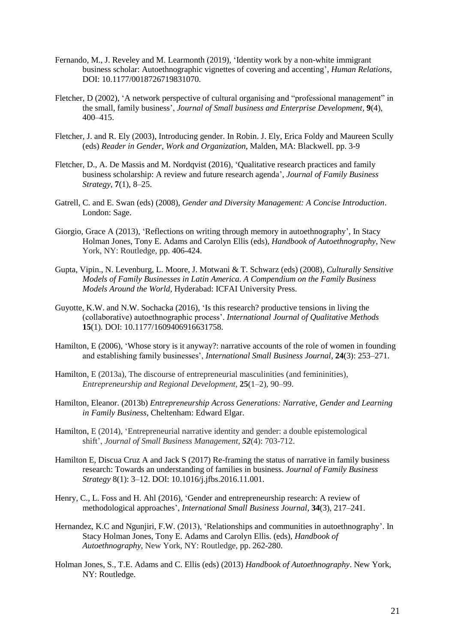- Fernando, M., J. Reveley and M. Learmonth (2019), 'Identity work by a non-white immigrant business scholar: Autoethnographic vignettes of covering and accenting', *Human Relations*, DOI: 10.1177/0018726719831070.
- Fletcher, D (2002), 'A network perspective of cultural organising and "professional management" in the small, family business', *Journal of Small business and Enterprise Development,* **9**(4), 400–415.
- Fletcher, J. and R. Ely (2003), Introducing gender. In Robin. J. Ely, Erica Foldy and Maureen Scully (eds) *Reader in Gender, Work and Organization*, Malden, MA: Blackwell. pp. 3-9
- Fletcher, D., A. De Massis and M. Nordqvist (2016), 'Qualitative research practices and family business scholarship: A review and future research agenda', *Journal of Family Business Strategy,* **7**(1), 8–25.
- Gatrell, C. and E. Swan (eds) (2008), *Gender and Diversity Management: A Concise Introduction*. London: Sage.
- Giorgio, Grace A (2013), 'Reflections on writing through memory in autoethnography', In Stacy Holman Jones, Tony E. Adams and Carolyn Ellis (eds), *Handbook of Autoethnography*, New York, NY: Routledge, pp. 406-424.
- Gupta, Vipin., N. Levenburg, L. Moore, J. Motwani & T. Schwarz (eds) (2008), *Culturally Sensitive Models of Family Businesses in Latin America. A Compendium on the Family Business Models Around the World*, Hyderabad: ICFAI University Press.
- Guyotte, K.W. and N.W. Sochacka (2016), 'Is this research? productive tensions in living the (collaborative) autoethnographic process'. *International Journal of Qualitative Methods* **15**(1). DOI: 10.1177/1609406916631758.
- Hamilton, E (2006), 'Whose story is it anyway?: narrative accounts of the role of women in founding and establishing family businesses', *International Small Business Journal,* **24**(3): 253–271.
- Hamilton, E (2013a), The discourse of entrepreneurial masculinities (and femininities), *Entrepreneurship and Regional Development*, **25**(1–2), 90–99.
- Hamilton, Eleanor. (2013b) *Entrepreneurship Across Generations: Narrative, Gender and Learning in Family Business*, Cheltenham: Edward Elgar.
- Hamilton, E (2014), 'Entrepreneurial narrative identity and gender: a double epistemological shift', *Journal of Small Business Management*, *52*(4): 703-712.
- Hamilton E, Discua Cruz A and Jack S (2017) Re-framing the status of narrative in family business research: Towards an understanding of families in business. *Journal of Family Business Strategy* 8(1): 3–12. DOI: 10.1016/j.jfbs.2016.11.001.
- Henry, C., L. Foss and H. Ahl (2016), 'Gender and entrepreneurship research: A review of methodological approaches', *International Small Business Journal,* **34**(3), 217–241.
- Hernandez, K.C and Ngunjiri, F.W. (2013), 'Relationships and communities in autoethnography'. In Stacy Holman Jones, Tony E. Adams and Carolyn Ellis. (eds), *Handbook of Autoethnography*, New York, NY: Routledge, pp. 262-280.
- Holman Jones, S., T.E. Adams and C. Ellis (eds) (2013) *Handbook of Autoethnography*. New York, NY: Routledge.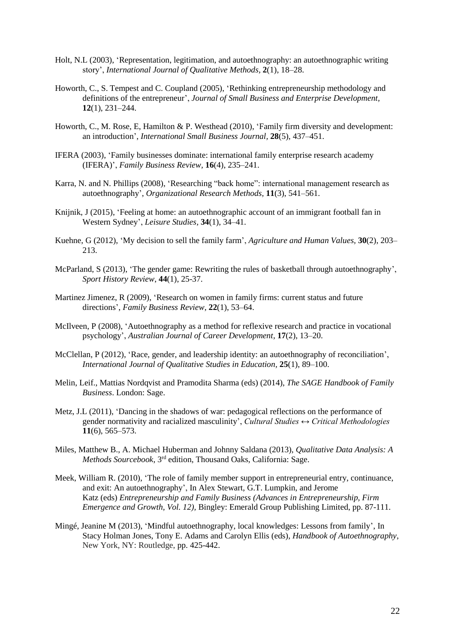- Holt, N.L (2003), 'Representation, legitimation, and autoethnography: an autoethnographic writing story', *International Journal of Qualitative Methods,* **2**(1), 18–28.
- Howorth, C., S. Tempest and C. Coupland (2005), 'Rethinking entrepreneurship methodology and definitions of the entrepreneur', *Journal of Small Business and Enterprise Development,* **12**(1), 231–244.
- Howorth, C., M. Rose, E, Hamilton & P. Westhead (2010), 'Family firm diversity and development: an introduction', *International Small Business Journal,* **28**(5), 437–451.
- IFERA (2003), 'Family businesses dominate: international family enterprise research academy (IFERA)', *Family Business Review,* **16**(4), 235–241.
- Karra, N. and N. Phillips (2008), 'Researching "back home": international management research as autoethnography', *Organizational Research Methods,* **11**(3), 541–561.
- Knijnik, J (2015), 'Feeling at home: an autoethnographic account of an immigrant football fan in Western Sydney', *Leisure Studies,* **34**(1), 34–41.
- Kuehne, G (2012), 'My decision to sell the family farm', *Agriculture and Human Values,* **30**(2), 203– 213.
- McParland, S (2013), 'The gender game: Rewriting the rules of basketball through autoethnography', *Sport History Review*, **44**(1), 25-37.
- Martinez Jimenez, R (2009), 'Research on women in family firms: current status and future directions', *Family Business Review,* **22**(1), 53–64.
- McIlveen, P (2008), 'Autoethnography as a method for reflexive research and practice in vocational psychology', *Australian Journal of Career Development,* **17**(2), 13–20.
- McClellan, P (2012), 'Race, gender, and leadership identity: an autoethnography of reconciliation', *International Journal of Qualitative Studies in Education,* **25**(1), 89–100.
- Melin, Leif., Mattias Nordqvist and Pramodita Sharma (eds) (2014), *The SAGE Handbook of Family Business*. London: Sage.
- Metz, J.L (2011), 'Dancing in the shadows of war: pedagogical reflections on the performance of gender normativity and racialized masculinity', *Cultural Studies ↔ Critical Methodologies* **11**(6), 565–573.
- Miles, Matthew B., A. Michael Huberman and Johnny Saldana (2013), *Qualitative Data Analysis: A*  Methods Sourcebook, 3<sup>rd</sup> edition, Thousand Oaks, California: Sage.
- Meek, William R. (2010), 'The role of family member support in entrepreneurial entry, continuance, and exit: An autoethnography', In Alex Stewart, G.T. Lumpkin, and Jerome Katz (eds) *Entrepreneurship and Family Business (Advances in Entrepreneurship, Firm Emergence and Growth, Vol. 12),* Bingley: Emerald Group Publishing Limited, pp. 87-111.
- Mingé, Jeanine M (2013), 'Mindful autoethnography, local knowledges: Lessons from family', In Stacy Holman Jones, Tony E. Adams and Carolyn Ellis (eds), *Handbook of Autoethnography*, New York, NY: Routledge, pp. 425-442.